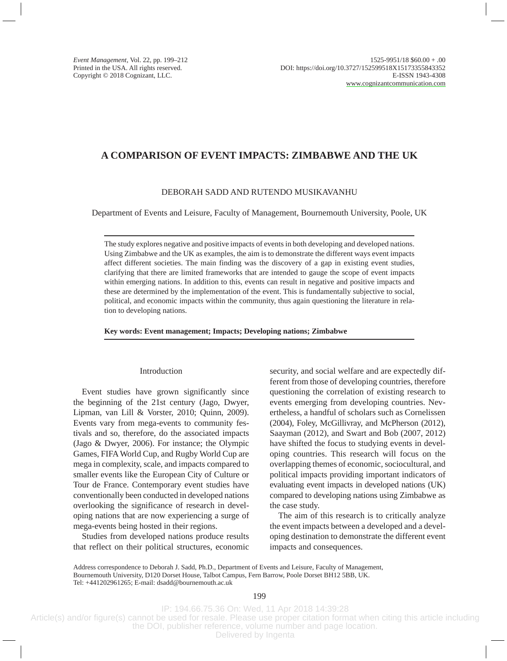# **A COMPARISON OF EVENT IMPACTS: ZIMBABWE AND THE UK**

## DEBORAH SADD AND RUTENDO MUSIKAVANHU

Department of Events and Leisure, Faculty of Management, Bournemouth University, Poole, UK

The study explores negative and positive impacts of events in both developing and developed nations. Using Zimbabwe and the UK as examples, the aim is to demonstrate the different ways event impacts affect different societies. The main finding was the discovery of a gap in existing event studies, clarifying that there are limited frameworks that are intended to gauge the scope of event impacts within emerging nations. In addition to this, events can result in negative and positive impacts and these are determined by the implementation of the event. This is fundamentally subjective to social, political, and economic impacts within the community, thus again questioning the literature in relation to developing nations.

**Key words: Event management; Impacts; Developing nations; Zimbabwe**

## Introduction

Event studies have grown significantly since the beginning of the 21st century (Jago, Dwyer, Lipman, van Lill & Vorster, 2010; Quinn, 2009). Events vary from mega-events to community festivals and so, therefore, do the associated impacts (Jago & Dwyer, 2006). For instance; the Olympic Games, FIFA World Cup, and Rugby World Cup are mega in complexity, scale, and impacts compared to smaller events like the European City of Culture or Tour de France. Contemporary event studies have conventionally been conducted in developed nations overlooking the significance of research in developing nations that are now experiencing a surge of mega-events being hosted in their regions.

Studies from developed nations produce results that reflect on their political structures, economic security, and social welfare and are expectedly different from those of developing countries, therefore questioning the correlation of existing research to events emerging from developing countries. Nevertheless, a handful of scholars such as Cornelissen (2004), Foley, McGillivray, and McPherson (2012), Saayman (2012), and Swart and Bob (2007, 2012) have shifted the focus to studying events in developing countries. This research will focus on the overlapping themes of economic, sociocultural, and political impacts providing important indicators of evaluating event impacts in developed nations (UK) compared to developing nations using Zimbabwe as the case study.

The aim of this research is to critically analyze the event impacts between a developed and a developing destination to demonstrate the different event impacts and consequences.

Address correspondence to Deborah J. Sadd, Ph.D., Department of Events and Leisure, Faculty of Management, Bournemouth University, D120 Dorset House, Talbot Campus, Fern Barrow, Poole Dorset BH12 5BB, UK. Tel: +441202961265; E-mail: dsadd@bournemouth.ac.uk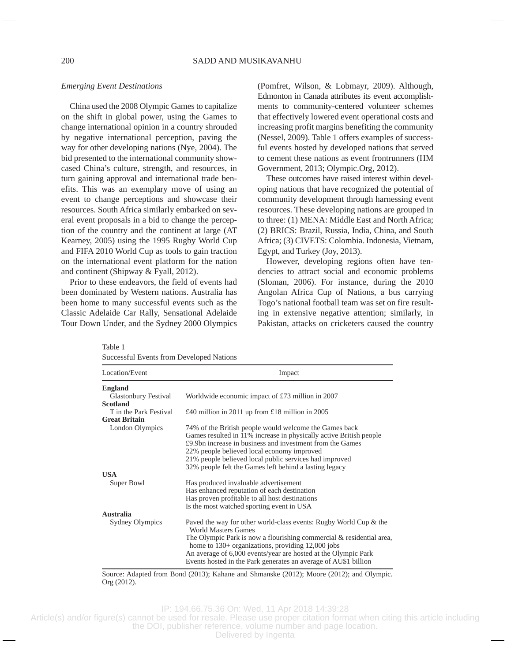## *Emerging Event Destinations*

China used the 2008 Olympic Games to capitalize on the shift in global power, using the Games to change international opinion in a country shrouded by negative international perception, paving the way for other developing nations (Nye, 2004). The bid presented to the international community showcased China's culture, strength, and resources, in turn gaining approval and international trade benefits. This was an exemplary move of using an event to change perceptions and showcase their resources. South Africa similarly embarked on several event proposals in a bid to change the perception of the country and the continent at large (AT Kearney, 2005) using the 1995 Rugby World Cup and FIFA 2010 World Cup as tools to gain traction on the international event platform for the nation and continent (Shipway & Fyall, 2012).

Prior to these endeavors, the field of events had been dominated by Western nations. Australia has been home to many successful events such as the Classic Adelaide Car Rally, Sensational Adelaide Tour Down Under, and the Sydney 2000 Olympics

(Pomfret, Wilson, & Lobmayr, 2009). Although, Edmonton in Canada attributes its event accomplishments to community-centered volunteer schemes that effectively lowered event operational costs and increasing profit margins benefiting the community (Nessel, 2009). Table 1 offers examples of successful events hosted by developed nations that served to cement these nations as event frontrunners (HM Government, 2013; Olympic.Org, 2012).

These outcomes have raised interest within developing nations that have recognized the potential of community development through harnessing event resources. These developing nations are grouped in to three: (1) MENA: Middle East and North Africa; (2) BRICS: Brazil, Russia, India, China, and South Africa; (3) CIVETS: Colombia. Indonesia, Vietnam, Egypt, and Turkey (Joy, 2013).

However, developing regions often have tendencies to attract social and economic problems (Sloman, 2006). For instance, during the 2010 Angolan Africa Cup of Nations, a bus carrying Togo's national football team was set on fire resulting in extensive negative attention; similarly, in Pakistan, attacks on cricketers caused the country

| Table 1                                  |
|------------------------------------------|
| Successful Events from Developed Nations |

| Location/Event<br>Impact                       |                                                                                                                                                                                                                                                                                                                                                                |  |
|------------------------------------------------|----------------------------------------------------------------------------------------------------------------------------------------------------------------------------------------------------------------------------------------------------------------------------------------------------------------------------------------------------------------|--|
| <b>England</b>                                 |                                                                                                                                                                                                                                                                                                                                                                |  |
| <b>Glastonbury Festival</b><br><b>Scotland</b> | Worldwide economic impact of £73 million in 2007                                                                                                                                                                                                                                                                                                               |  |
| T in the Park Festival<br><b>Great Britain</b> | £40 million in 2011 up from £18 million in 2005                                                                                                                                                                                                                                                                                                                |  |
| London Olympics                                | 74% of the British people would welcome the Games back<br>Games resulted in 11% increase in physically active British people<br>£9.9bn increase in business and investment from the Games<br>22% people believed local economy improved<br>21% people believed local public services had improved<br>32% people felt the Games left behind a lasting legacy    |  |
| <b>USA</b>                                     |                                                                                                                                                                                                                                                                                                                                                                |  |
| Super Bowl                                     | Has produced invaluable advertisement<br>Has enhanced reputation of each destination<br>Has proven profitable to all host destinations<br>Is the most watched sporting event in USA                                                                                                                                                                            |  |
| <b>Australia</b>                               |                                                                                                                                                                                                                                                                                                                                                                |  |
| Sydney Olympics                                | Paved the way for other world-class events: Rugby World Cup & the<br>World Masters Games<br>The Olympic Park is now a flourishing commercial & residential area,<br>home to $130+$ organizations, providing $12,000$ jobs<br>An average of 6,000 events/year are hosted at the Olympic Park<br>Events hosted in the Park generates an average of AU\$1 billion |  |

Source: Adapted from Bond (2013); Kahane and Shmanske (2012); Moore (2012); and Olympic. Org (2012).

IP: 194.66.75.36 On: Wed, 11 Apr 2018 14:39:28

Article(s) and/or figure(s) cannot be used for resale. Please use proper citation format when citing this article including the DOI, publisher reference, volume number and page location.

Delivered by Ingenta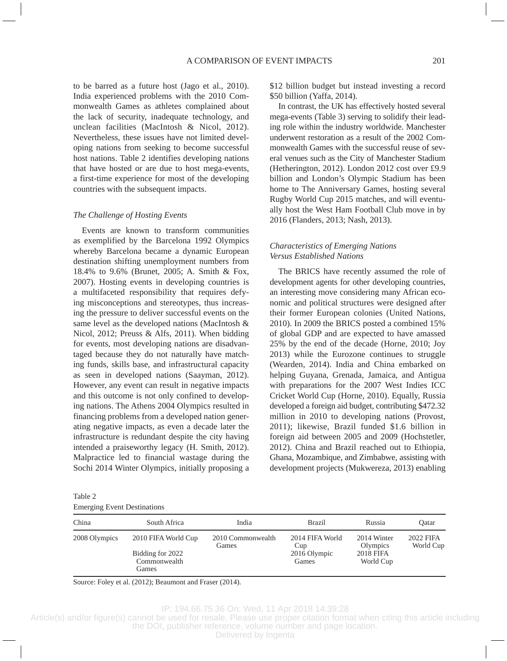to be barred as a future host (Jago et al., 2010). India experienced problems with the 2010 Commonwealth Games as athletes complained about the lack of security, inadequate technology, and unclean facilities (MacIntosh & Nicol, 2012). Nevertheless, these issues have not limited developing nations from seeking to become successful host nations. Table 2 identifies developing nations that have hosted or are due to host mega-events, a first-time experience for most of the developing countries with the subsequent impacts.

### *The Challenge of Hosting Events*

Events are known to transform communities as exemplified by the Barcelona 1992 Olympics whereby Barcelona became a dynamic European destination shifting unemployment numbers from 18.4% to 9.6% (Brunet, 2005; A. Smith & Fox, 2007). Hosting events in developing countries is a multifaceted responsibility that requires defying misconceptions and stereotypes, thus increasing the pressure to deliver successful events on the same level as the developed nations (MacIntosh & Nicol, 2012; Preuss & Alfs, 2011). When bidding for events, most developing nations are disadvantaged because they do not naturally have matching funds, skills base, and infrastructural capacity as seen in developed nations (Saayman, 2012). However, any event can result in negative impacts and this outcome is not only confined to developing nations. The Athens 2004 Olympics resulted in financing problems from a developed nation generating negative impacts, as even a decade later the infrastructure is redundant despite the city having intended a praiseworthy legacy (H. Smith, 2012). Malpractice led to financial wastage during the Sochi 2014 Winter Olympics, initially proposing a \$12 billion budget but instead investing a record \$50 billion (Yaffa, 2014).

In contrast, the UK has effectively hosted several mega-events (Table 3) serving to solidify their leading role within the industry worldwide. Manchester underwent restoration as a result of the 2002 Commonwealth Games with the successful reuse of several venues such as the City of Manchester Stadium (Hetherington, 2012). London 2012 cost over £9.9 billion and London's Olympic Stadium has been home to The Anniversary Games, hosting several Rugby World Cup 2015 matches, and will eventually host the West Ham Football Club move in by 2016 (Flanders, 2013; Nash, 2013).

# *Characteristics of Emerging Nations Versus Established Nations*

The BRICS have recently assumed the role of development agents for other developing countries, an interesting move considering many African economic and political structures were designed after their former European colonies (United Nations, 2010). In 2009 the BRICS posted a combined 15% of global GDP and are expected to have amassed 25% by the end of the decade (Horne, 2010; Joy 2013) while the Eurozone continues to struggle (Wearden, 2014). India and China embarked on helping Guyana, Grenada, Jamaica, and Antigua with preparations for the 2007 West Indies ICC Cricket World Cup (Horne, 2010). Equally, Russia developed a foreign aid budget, contributing \$472.32 million in 2010 to developing nations (Provost, 2011); likewise, Brazil funded \$1.6 billion in foreign aid between 2005 and 2009 (Hochstetler, 2012). China and Brazil reached out to Ethiopia, Ghana, Mozambique, and Zimbabwe, assisting with development projects (Mukwereza, 2013) enabling

| Table 2 |                                    |
|---------|------------------------------------|
|         | <b>Emerging Event Destinations</b> |

| China         | South Africa                                                     | India                      | <b>Brazil</b>                                   | Russia                                                   | Oatar                  |
|---------------|------------------------------------------------------------------|----------------------------|-------------------------------------------------|----------------------------------------------------------|------------------------|
| 2008 Olympics | 2010 FIFA World Cup<br>Bidding for 2022<br>Commonwealth<br>Games | 2010 Commonwealth<br>Games | 2014 FIFA World<br>Cup<br>2016 Olympic<br>Games | 2014 Winter<br>Olympics<br><b>2018 FIFA</b><br>World Cup | 2022 FIFA<br>World Cup |

Source: Foley et al. (2012); Beaumont and Fraser (2014).

IP: 194.66.75.36 On: Wed, 11 Apr 2018 14:39:28

Article(s) and/or figure(s) cannot be used for resale. Please use proper citation format when citing this article including

the DOI, publisher reference, volume number and page location. Delivered by Ingenta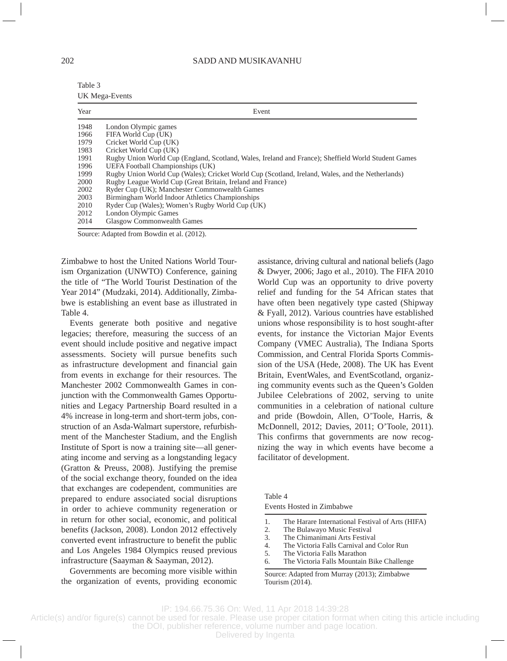#### 202 SADD AND MUSIKAVANHU

| Table 3        |
|----------------|
| UK Mega-Events |

| Year | Event                                                                                               |
|------|-----------------------------------------------------------------------------------------------------|
| 1948 | London Olympic games                                                                                |
| 1966 | FIFA World Cup (UK)                                                                                 |
| 1979 | Cricket World Cup (UK)                                                                              |
| 1983 | Cricket World Cup (UK)                                                                              |
| 1991 | Rugby Union World Cup (England, Scotland, Wales, Ireland and France); Sheffield World Student Games |
| 1996 | UEFA Football Championships (UK)                                                                    |
| 1999 | Rugby Union World Cup (Wales); Cricket World Cup (Scotland, Ireland, Wales, and the Netherlands)    |
| 2000 | Rugby League World Cup (Great Britain, Ireland and France)                                          |
| 2002 | Ryder Cup (UK); Manchester Commonwealth Games                                                       |
| 2003 | Birmingham World Indoor Athletics Championships                                                     |
| 2010 | Ryder Cup (Wales); Women's Rugby World Cup (UK)                                                     |
| 2012 | London Olympic Games                                                                                |
| 2014 | <b>Glasgow Commonwealth Games</b>                                                                   |

Source: Adapted from Bowdin et al. (2012).

Zimbabwe to host the United Nations World Tourism Organization (UNWTO) Conference, gaining the title of "The World Tourist Destination of the Year 2014" (Mudzaki, 2014). Additionally, Zimbabwe is establishing an event base as illustrated in Table 4.

Events generate both positive and negative legacies; therefore, measuring the success of an event should include positive and negative impact assessments. Society will pursue benefits such as infrastructure development and financial gain from events in exchange for their resources. The Manchester 2002 Commonwealth Games in conjunction with the Commonwealth Games Opportunities and Legacy Partnership Board resulted in a 4% increase in long-term and short-term jobs, construction of an Asda-Walmart superstore, refurbishment of the Manchester Stadium, and the English Institute of Sport is now a training site—all generating income and serving as a longstanding legacy (Gratton & Preuss, 2008). Justifying the premise of the social exchange theory, founded on the idea that exchanges are codependent, communities are prepared to endure associated social disruptions in order to achieve community regeneration or in return for other social, economic, and political benefits (Jackson, 2008). London 2012 effectively converted event infrastructure to benefit the public and Los Angeles 1984 Olympics reused previous infrastructure (Saayman & Saayman, 2012).

Governments are becoming more visible within the organization of events, providing economic

assistance, driving cultural and national beliefs (Jago & Dwyer, 2006; Jago et al., 2010). The FIFA 2010 World Cup was an opportunity to drive poverty relief and funding for the 54 African states that have often been negatively type casted (Shipway & Fyall, 2012). Various countries have established unions whose responsibility is to host sought-after events, for instance the Victorian Major Events Company (VMEC Australia), The Indiana Sports Commission, and Central Florida Sports Commission of the USA (Hede, 2008). The UK has Event Britain, EventWales, and EventScotland, organizing community events such as the Queen's Golden Jubilee Celebrations of 2002, serving to unite communities in a celebration of national culture and pride (Bowdoin, Allen, O'Toole, Harris, & McDonnell, 2012; Davies, 2011; O'Toole, 2011). This confirms that governments are now recognizing the way in which events have become a facilitator of development.

Table 4 Events Hosted in Zimbabwe

- 1. The Harare International Festival of Arts (HIFA)
- 2. The Bulawayo Music Festival
- 3. The Chimanimani Arts Festival<br>4. The Victoria Falls Carnival and
- 4. The Victoria Falls Carnival and Color Run
- 5. The Victoria Falls Marathon
- 6. The Victoria Falls Mountain Bike Challenge

Source: Adapted from Murray (2013); Zimbabwe Tourism (2014).

IP: 194.66.75.36 On: Wed, 11 Apr 2018 14:39:28

Article(s) and/or figure(s) cannot be used for resale. Please use proper citation format when citing this article including the DOI, publisher reference, volume number and page location.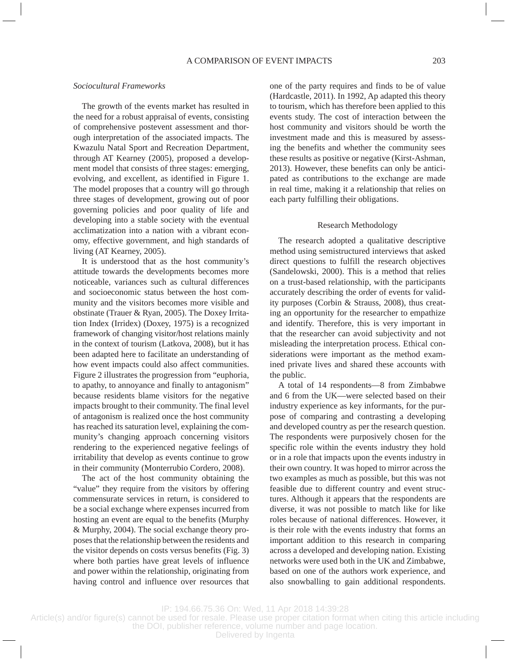## *Sociocultural Frameworks*

The growth of the events market has resulted in the need for a robust appraisal of events, consisting of comprehensive postevent assessment and thorough interpretation of the associated impacts. The Kwazulu Natal Sport and Recreation Department, through AT Kearney (2005), proposed a development model that consists of three stages: emerging, evolving, and excellent, as identified in Figure 1. The model proposes that a country will go through three stages of development, growing out of poor governing policies and poor quality of life and developing into a stable society with the eventual acclimatization into a nation with a vibrant economy, effective government, and high standards of living (AT Kearney, 2005).

It is understood that as the host community's attitude towards the developments becomes more noticeable, variances such as cultural differences and socioeconomic status between the host community and the visitors becomes more visible and obstinate (Trauer & Ryan, 2005). The Doxey Irritation Index (Irridex) (Doxey, 1975) is a recognized framework of changing visitor/host relations mainly in the context of tourism (Latkova, 2008), but it has been adapted here to facilitate an understanding of how event impacts could also affect communities. Figure 2 illustrates the progression from "euphoria, to apathy, to annoyance and finally to antagonism" because residents blame visitors for the negative impacts brought to their community. The final level of antagonism is realized once the host community has reached its saturation level, explaining the community's changing approach concerning visitors rendering to the experienced negative feelings of irritability that develop as events continue to grow in their community (Monterrubio Cordero, 2008).

The act of the host community obtaining the "value" they require from the visitors by offering commensurate services in return, is considered to be a social exchange where expenses incurred from hosting an event are equal to the benefits (Murphy & Murphy, 2004). The social exchange theory proposes that the relationship between the residents and the visitor depends on costs versus benefits (Fig. 3) where both parties have great levels of influence and power within the relationship, originating from having control and influence over resources that one of the party requires and finds to be of value (Hardcastle, 2011). In 1992, Ap adapted this theory to tourism, which has therefore been applied to this events study. The cost of interaction between the host community and visitors should be worth the investment made and this is measured by assessing the benefits and whether the community sees these results as positive or negative (Kirst-Ashman, 2013). However, these benefits can only be anticipated as contributions to the exchange are made in real time, making it a relationship that relies on each party fulfilling their obligations.

### Research Methodology

The research adopted a qualitative descriptive method using semistructured interviews that asked direct questions to fulfill the research objectives (Sandelowski, 2000). This is a method that relies on a trust-based relationship, with the participants accurately describing the order of events for validity purposes (Corbin & Strauss, 2008), thus creating an opportunity for the researcher to empathize and identify. Therefore, this is very important in that the researcher can avoid subjectivity and not misleading the interpretation process. Ethical considerations were important as the method examined private lives and shared these accounts with the public.

A total of 14 respondents—8 from Zimbabwe and 6 from the UK—were selected based on their industry experience as key informants, for the purpose of comparing and contrasting a developing and developed country as per the research question. The respondents were purposively chosen for the specific role within the events industry they hold or in a role that impacts upon the events industry in their own country. It was hoped to mirror across the two examples as much as possible, but this was not feasible due to different country and event structures. Although it appears that the respondents are diverse, it was not possible to match like for like roles because of national differences. However, it is their role with the events industry that forms an important addition to this research in comparing across a developed and developing nation. Existing networks were used both in the UK and Zimbabwe, based on one of the authors work experience, and also snowballing to gain additional respondents.

IP: 194.66.75.36 On: Wed, 11 Apr 2018 14:39:28

Article(s) and/or figure(s) cannot be used for resale. Please use proper citation format when citing this article including the DOI, publisher reference, volume number and page location.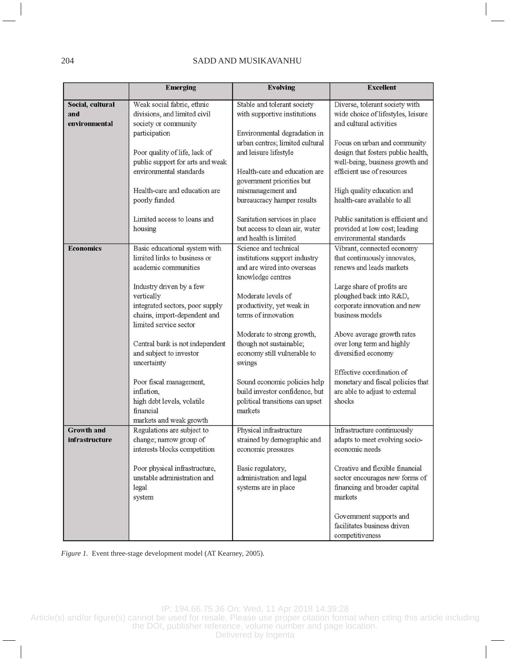# 204 SADD AND MUSIKAVANHU

|                                            | <b>Emerging</b>                                                                                                                                                                                                        | <b>Evolving</b>                                                                                                                                                                                                                                                             | <b>Excellent</b>                                                                                                                                                                                                                                                                                    |
|--------------------------------------------|------------------------------------------------------------------------------------------------------------------------------------------------------------------------------------------------------------------------|-----------------------------------------------------------------------------------------------------------------------------------------------------------------------------------------------------------------------------------------------------------------------------|-----------------------------------------------------------------------------------------------------------------------------------------------------------------------------------------------------------------------------------------------------------------------------------------------------|
| Social, cultural<br>and                    | Weak social fabric, ethnic<br>divisions, and limited civil                                                                                                                                                             | Stable and tolerant society<br>with supportive institutions                                                                                                                                                                                                                 | Diverse, tolerant society with<br>wide choice of lifestyles, leisure                                                                                                                                                                                                                                |
| environmental                              | society or community<br>participation<br>Poor quality of life, lack of<br>public support for arts and weak<br>environmental standards<br>Health-care and education are<br>poorly funded<br>Limited access to loans and | Environmental degradation in<br>urban centres; limited cultural<br>and leisure lifestyle<br>Health-care and education are<br>government priorities but<br>mismanagement and<br>bureaucracy hamper results<br>Sanitation services in place<br>but access to clean air, water | and cultural activities<br>Focus on urban and community<br>design that fosters public health,<br>well-being, business growth and<br>efficient use of resources<br>High quality education and<br>health-care available to all<br>Public sanitation is efficient and<br>provided at low cost; leading |
| <b>Economics</b>                           | housing<br>Basic educational system with                                                                                                                                                                               | and health is limited<br>Science and technical                                                                                                                                                                                                                              | environmental standards<br>Vibrant, connected economy                                                                                                                                                                                                                                               |
|                                            | limited links to business or<br>academic communities                                                                                                                                                                   | institutions support industry<br>and are wired into overseas<br>knowledge centres                                                                                                                                                                                           | that continuously innovates,<br>renews and leads markets                                                                                                                                                                                                                                            |
|                                            | Industry driven by a few<br>vertically<br>integrated sectors, poor supply<br>chains, import-dependent and<br>limited service sector                                                                                    | Moderate levels of<br>productivity, yet weak in<br>terms of innovation                                                                                                                                                                                                      | Large share of profits are<br>ploughed back into R&D,<br>corporate innovation and new<br>business models                                                                                                                                                                                            |
|                                            | Central bank is not independent<br>and subject to investor<br>uncertainty                                                                                                                                              | Moderate to strong growth,<br>though not sustainable;<br>economy still vulnerable to<br>swings                                                                                                                                                                              | Above average growth rates<br>over long term and highly<br>diversified economy<br>Effective coordination of                                                                                                                                                                                         |
|                                            | Poor fiscal management,<br>inflation,<br>high debt levels, volatile<br>financial<br>markets and weak growth                                                                                                            | Sound economic policies help<br>build investor confidence, but<br>political transitions can upset<br>markets                                                                                                                                                                | monetary and fiscal policies that<br>are able to adjust to external<br>shocks                                                                                                                                                                                                                       |
| <b>Growth and</b><br><b>infrastructure</b> | Regulations are subject to<br>change; narrow group of<br>interests blocks competition                                                                                                                                  | Physical infrastructure<br>strained by demographic and<br>economic pressures                                                                                                                                                                                                | Infrastructure continuously<br>adapts to meet evolving socio-<br>economic needs                                                                                                                                                                                                                     |
|                                            | Poor physical infrastructure,<br>unstable administration and<br>legal<br>system                                                                                                                                        | Basic regulatory,<br>administration and legal<br>systems are in place                                                                                                                                                                                                       | Creative and flexible financial<br>sector encourages new forms of<br>financing and broader capital<br>markets                                                                                                                                                                                       |
|                                            |                                                                                                                                                                                                                        |                                                                                                                                                                                                                                                                             | Government supports and<br>facilitates business driven<br>competitiveness                                                                                                                                                                                                                           |

*Figure 1.* Event three-stage development model (AT Kearney, 2005).

IP: 194.66.75.36 On: Wed, 11 Apr 2018 14:39:28

Article(s) and/or figure(s) cannot be used for resale. Please use proper citation format when citing this article including the DOI, publisher reference, volume number and page location.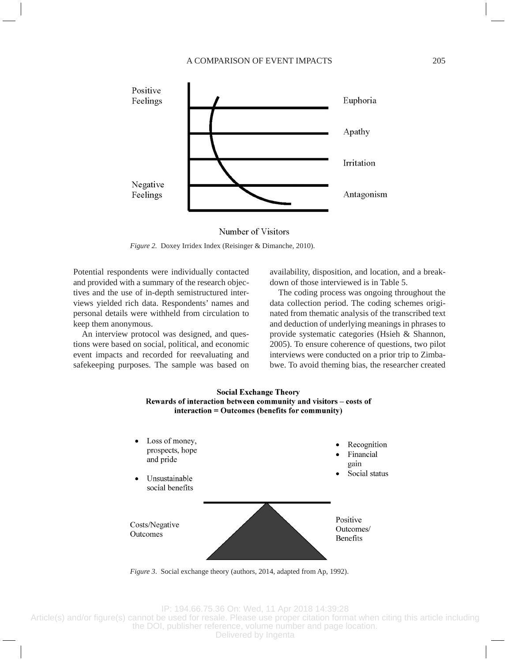

Number of Visitors

*Figure 2.* Doxey Irridex Index (Reisinger & Dimanche, 2010).

Potential respondents were individually contacted and provided with a summary of the research objectives and the use of in-depth semistructured interviews yielded rich data. Respondents' names and personal details were withheld from circulation to keep them anonymous.

An interview protocol was designed, and questions were based on social, political, and economic event impacts and recorded for reevaluating and safekeeping purposes. The sample was based on availability, disposition, and location, and a breakdown of those interviewed is in Table 5.

The coding process was ongoing throughout the data collection period. The coding schemes originated from thematic analysis of the transcribed text and deduction of underlying meanings in phrases to provide systematic categories (Hsieh & Shannon, 2005). To ensure coherence of questions, two pilot interviews were conducted on a prior trip to Zimbabwe. To avoid theming bias, the researcher created



*Figure 3*. Social exchange theory (authors, 2014, adapted from Ap, 1992).

IP: 194.66.75.36 On: Wed, 11 Apr 2018 14:39:28

Article(s) and/or figure(s) cannot be used for resale. Please use proper citation format when citing this article including the DOI, publisher reference, volume number and page location.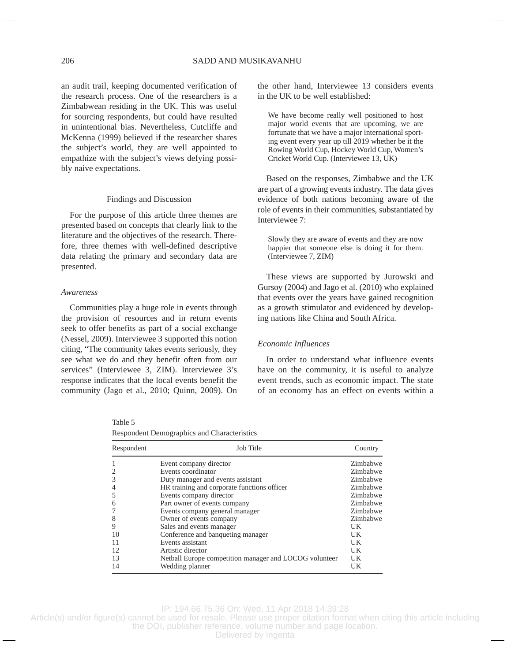an audit trail, keeping documented verification of the research process. One of the researchers is a Zimbabwean residing in the UK. This was useful for sourcing respondents, but could have resulted in unintentional bias. Nevertheless, Cutcliffe and McKenna (1999) believed if the researcher shares the subject's world, they are well appointed to empathize with the subject's views defying possibly naive expectations.

### Findings and Discussion

For the purpose of this article three themes are presented based on concepts that clearly link to the literature and the objectives of the research. Therefore, three themes with well-defined descriptive data relating the primary and secondary data are presented.

### *Awareness*

Communities play a huge role in events through the provision of resources and in return events seek to offer benefits as part of a social exchange (Nessel, 2009). Interviewee 3 supported this notion citing, "The community takes events seriously, they see what we do and they benefit often from our services" (Interviewee 3, ZIM). Interviewee 3's response indicates that the local events benefit the community (Jago et al., 2010; Quinn, 2009). On

the other hand, Interviewee 13 considers events in the UK to be well established:

We have become really well positioned to host major world events that are upcoming, we are fortunate that we have a major international sporting event every year up till 2019 whether be it the Rowing World Cup, Hockey World Cup, Women's Cricket World Cup. (Interviewee 13, UK)

Based on the responses, Zimbabwe and the UK are part of a growing events industry. The data gives evidence of both nations becoming aware of the role of events in their communities, substantiated by Interviewee 7:

Slowly they are aware of events and they are now happier that someone else is doing it for them. (Interviewee 7, ZIM)

These views are supported by Jurowski and Gursoy (2004) and Jago et al. (2010) who explained that events over the years have gained recognition as a growth stimulator and evidenced by developing nations like China and South Africa.

### *Economic Influences*

In order to understand what influence events have on the community, it is useful to analyze event trends, such as economic impact. The state of an economy has an effect on events within a

Table 5

Respondent Demographics and Characteristics

| Respondent | Job Title                                              | Country  |
|------------|--------------------------------------------------------|----------|
|            | Event company director                                 | Zimbabwe |
|            | Events coordinator                                     | Zimbabwe |
| 3          | Duty manager and events assistant                      | Zimbabwe |
|            | HR training and corporate functions officer            | Zimbabwe |
|            | Events company director                                | Zimbabwe |
| 6          | Part owner of events company                           | Zimbabwe |
|            | Events company general manager                         | Zimbabwe |
| 8          | Owner of events company                                | Zimbabwe |
| 9          | Sales and events manager                               | UK       |
| 10         | Conference and banqueting manager                      | UK       |
| 11         | Events assistant                                       | UK       |
| 12         | Artistic director                                      | UK       |
| 13         | Netball Europe competition manager and LOCOG volunteer | UK       |
| 14         | Wedding planner                                        | UK       |

IP: 194.66.75.36 On: Wed, 11 Apr 2018 14:39:28

Article(s) and/or figure(s) cannot be used for resale. Please use proper citation format when citing this article including

the DOI, publisher reference, volume number and page location. Delivered by Ingenta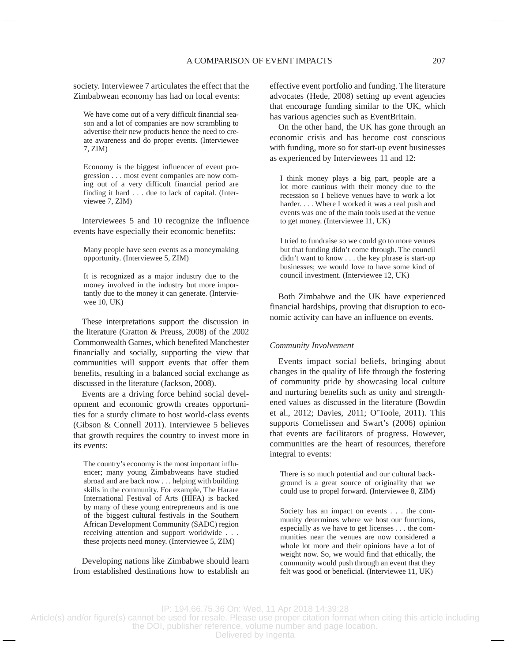society. Interviewee 7 articulates the effect that the Zimbabwean economy has had on local events:

We have come out of a very difficult financial season and a lot of companies are now scrambling to advertise their new products hence the need to create awareness and do proper events. (Interviewee 7, ZIM)

Economy is the biggest influencer of event progression . . . most event companies are now coming out of a very difficult financial period are finding it hard . . . due to lack of capital. (Interviewee 7, ZIM)

Interviewees 5 and 10 recognize the influence events have especially their economic benefits:

Many people have seen events as a moneymaking opportunity. (Interviewee 5, ZIM)

It is recognized as a major industry due to the money involved in the industry but more importantly due to the money it can generate. (Interviewee 10, UK)

These interpretations support the discussion in the literature (Gratton & Preuss, 2008) of the 2002 Commonwealth Games, which benefited Manchester financially and socially, supporting the view that communities will support events that offer them benefits, resulting in a balanced social exchange as discussed in the literature (Jackson, 2008).

Events are a driving force behind social development and economic growth creates opportunities for a sturdy climate to host world-class events (Gibson & Connell 2011). Interviewee 5 believes that growth requires the country to invest more in its events:

The country's economy is the most important influencer; many young Zimbabweans have studied abroad and are back now . . . helping with building skills in the community. For example, The Harare International Festival of Arts (HIFA) is backed by many of these young entrepreneurs and is one of the biggest cultural festivals in the Southern African Development Community (SADC) region receiving attention and support worldwide . . . these projects need money. (Interviewee 5, ZIM)

Developing nations like Zimbabwe should learn from established destinations how to establish an effective event portfolio and funding. The literature advocates (Hede, 2008) setting up event agencies that encourage funding similar to the UK, which has various agencies such as EventBritain.

On the other hand, the UK has gone through an economic crisis and has become cost conscious with funding, more so for start-up event businesses as experienced by Interviewees 11 and 12:

I think money plays a big part, people are a lot more cautious with their money due to the recession so I believe venues have to work a lot harder. . . . Where I worked it was a real push and events was one of the main tools used at the venue to get money. (Interviewee 11, UK)

I tried to fundraise so we could go to more venues but that funding didn't come through. The council didn't want to know . . . the key phrase is start-up businesses; we would love to have some kind of council investment. (Interviewee 12, UK)

Both Zimbabwe and the UK have experienced financial hardships, proving that disruption to economic activity can have an influence on events.

### *Community Involvement*

Events impact social beliefs, bringing about changes in the quality of life through the fostering of community pride by showcasing local culture and nurturing benefits such as unity and strengthened values as discussed in the literature (Bowdin et al., 2012; Davies, 2011; O'Toole, 2011). This supports Cornelissen and Swart's (2006) opinion that events are facilitators of progress. However, communities are the heart of resources, therefore integral to events:

There is so much potential and our cultural background is a great source of originality that we could use to propel forward. (Interviewee 8, ZIM)

Society has an impact on events . . . the community determines where we host our functions, especially as we have to get licenses . . . the communities near the venues are now considered a whole lot more and their opinions have a lot of weight now. So, we would find that ethically, the community would push through an event that they felt was good or beneficial. (Interviewee 11, UK)

IP: 194.66.75.36 On: Wed, 11 Apr 2018 14:39:28

Article(s) and/or figure(s) cannot be used for resale. Please use proper citation format when citing this article including the DOI, publisher reference, volume number and page location.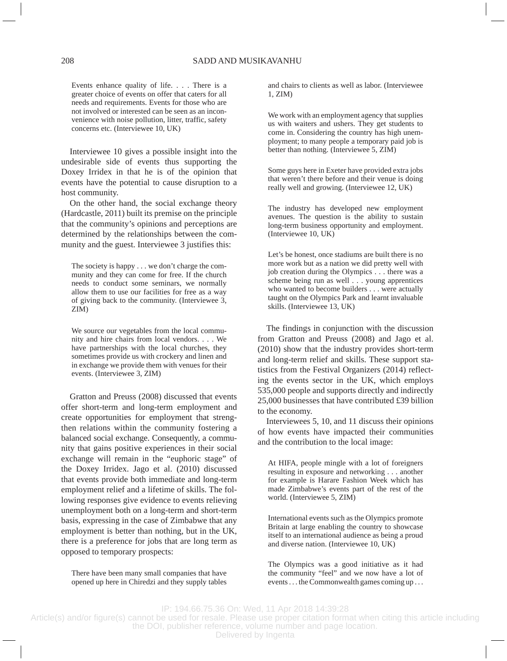Events enhance quality of life. . . . There is a greater choice of events on offer that caters for all needs and requirements. Events for those who are not involved or interested can be seen as an inconvenience with noise pollution, litter, traffic, safety concerns etc. (Interviewee 10, UK)

Interviewee 10 gives a possible insight into the undesirable side of events thus supporting the Doxey Irridex in that he is of the opinion that events have the potential to cause disruption to a host community.

On the other hand, the social exchange theory (Hardcastle, 2011) built its premise on the principle that the community's opinions and perceptions are determined by the relationships between the community and the guest. Interviewee 3 justifies this:

The society is happy . . . we don't charge the community and they can come for free. If the church needs to conduct some seminars, we normally allow them to use our facilities for free as a way of giving back to the community. (Interviewee 3, ZIM)

We source our vegetables from the local community and hire chairs from local vendors. . . . We have partnerships with the local churches, they sometimes provide us with crockery and linen and in exchange we provide them with venues for their events. (Interviewee 3, ZIM)

Gratton and Preuss (2008) discussed that events offer short-term and long-term employment and create opportunities for employment that strengthen relations within the community fostering a balanced social exchange. Consequently, a community that gains positive experiences in their social exchange will remain in the "euphoric stage" of the Doxey Irridex. Jago et al. (2010) discussed that events provide both immediate and long-term employment relief and a lifetime of skills. The following responses give evidence to events relieving unemployment both on a long-term and short-term basis, expressing in the case of Zimbabwe that any employment is better than nothing, but in the UK, there is a preference for jobs that are long term as opposed to temporary prospects:

There have been many small companies that have opened up here in Chiredzi and they supply tables

and chairs to clients as well as labor. (Interviewee 1, ZIM)

We work with an employment agency that supplies us with waiters and ushers. They get students to come in. Considering the country has high unemployment; to many people a temporary paid job is better than nothing. (Interviewee 5, ZIM)

Some guys here in Exeter have provided extra jobs that weren't there before and their venue is doing really well and growing. (Interviewee 12, UK)

The industry has developed new employment avenues. The question is the ability to sustain long-term business opportunity and employment. (Interviewee 10, UK)

Let's be honest, once stadiums are built there is no more work but as a nation we did pretty well with job creation during the Olympics . . . there was a scheme being run as well . . . young apprentices who wanted to become builders . . . were actually taught on the Olympics Park and learnt invaluable skills. (Interviewee 13, UK)

The findings in conjunction with the discussion from Gratton and Preuss (2008) and Jago et al. (2010) show that the industry provides short-term and long-term relief and skills. These support statistics from the Festival Organizers (2014) reflecting the events sector in the UK, which employs 535,000 people and supports directly and indirectly 25,000 businesses that have contributed £39 billion to the economy.

Interviewees 5, 10, and 11 discuss their opinions of how events have impacted their communities and the contribution to the local image:

At HIFA, people mingle with a lot of foreigners resulting in exposure and networking . . . another for example is Harare Fashion Week which has made Zimbabwe's events part of the rest of the world. (Interviewee 5, ZIM)

International events such as the Olympics promote Britain at large enabling the country to showcase itself to an international audience as being a proud and diverse nation. (Interviewee 10, UK)

The Olympics was a good initiative as it had the community "feel" and we now have a lot of events. . . the Commonwealth games coming up . . .

IP: 194.66.75.36 On: Wed, 11 Apr 2018 14:39:28

Article(s) and/or figure(s) cannot be used for resale. Please use proper citation format when citing this article including the DOI, publisher reference, volume number and page location.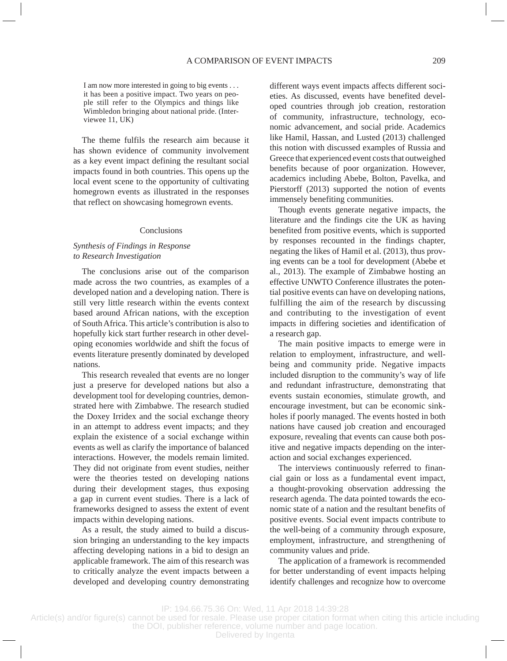I am now more interested in going to big events . . . it has been a positive impact. Two years on people still refer to the Olympics and things like Wimbledon bringing about national pride. (Interviewee 11, UK)

The theme fulfils the research aim because it has shown evidence of community involvement as a key event impact defining the resultant social impacts found in both countries. This opens up the local event scene to the opportunity of cultivating homegrown events as illustrated in the responses that reflect on showcasing homegrown events.

#### **Conclusions**

## *Synthesis of Findings in Response to Research Investigation*

The conclusions arise out of the comparison made across the two countries, as examples of a developed nation and a developing nation. There is still very little research within the events context based around African nations, with the exception of South Africa. This article's contribution is also to hopefully kick start further research in other developing economies worldwide and shift the focus of events literature presently dominated by developed nations.

This research revealed that events are no longer just a preserve for developed nations but also a development tool for developing countries, demonstrated here with Zimbabwe. The research studied the Doxey Irridex and the social exchange theory in an attempt to address event impacts; and they explain the existence of a social exchange within events as well as clarify the importance of balanced interactions. However, the models remain limited. They did not originate from event studies, neither were the theories tested on developing nations during their development stages, thus exposing a gap in current event studies. There is a lack of frameworks designed to assess the extent of event impacts within developing nations.

As a result, the study aimed to build a discussion bringing an understanding to the key impacts affecting developing nations in a bid to design an applicable framework. The aim of this research was to critically analyze the event impacts between a developed and developing country demonstrating different ways event impacts affects different societies. As discussed, events have benefited developed countries through job creation, restoration of community, infrastructure, technology, economic advancement, and social pride. Academics like Hamil, Hassan, and Lusted (2013) challenged this notion with discussed examples of Russia and Greece that experienced event costs that outweighed benefits because of poor organization. However, academics including Abebe, Bolton, Pavelka, and Pierstorff (2013) supported the notion of events immensely benefiting communities.

Though events generate negative impacts, the literature and the findings cite the UK as having benefited from positive events, which is supported by responses recounted in the findings chapter, negating the likes of Hamil et al. (2013), thus proving events can be a tool for development (Abebe et al., 2013). The example of Zimbabwe hosting an effective UNWTO Conference illustrates the potential positive events can have on developing nations, fulfilling the aim of the research by discussing and contributing to the investigation of event impacts in differing societies and identification of a research gap.

The main positive impacts to emerge were in relation to employment, infrastructure, and wellbeing and community pride. Negative impacts included disruption to the community's way of life and redundant infrastructure, demonstrating that events sustain economies, stimulate growth, and encourage investment, but can be economic sinkholes if poorly managed. The events hosted in both nations have caused job creation and encouraged exposure, revealing that events can cause both positive and negative impacts depending on the interaction and social exchanges experienced.

The interviews continuously referred to financial gain or loss as a fundamental event impact, a thought-provoking observation addressing the research agenda. The data pointed towards the economic state of a nation and the resultant benefits of positive events. Social event impacts contribute to the well-being of a community through exposure, employment, infrastructure, and strengthening of community values and pride.

The application of a framework is recommended for better understanding of event impacts helping identify challenges and recognize how to overcome

IP: 194.66.75.36 On: Wed, 11 Apr 2018 14:39:28

Article(s) and/or figure(s) cannot be used for resale. Please use proper citation format when citing this article including the DOI, publisher reference, volume number and page location.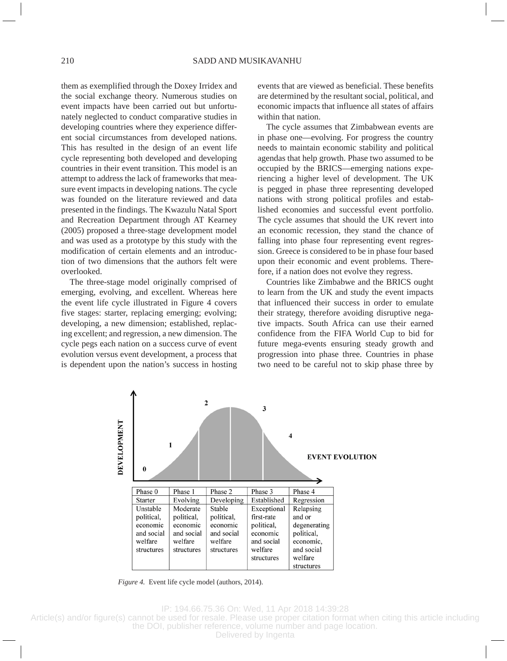them as exemplified through the Doxey Irridex and the social exchange theory. Numerous studies on event impacts have been carried out but unfortunately neglected to conduct comparative studies in developing countries where they experience different social circumstances from developed nations. This has resulted in the design of an event life cycle representing both developed and developing countries in their event transition. This model is an attempt to address the lack of frameworks that measure event impacts in developing nations. The cycle was founded on the literature reviewed and data presented in the findings. The Kwazulu Natal Sport and Recreation Department through AT Kearney (2005) proposed a three-stage development model and was used as a prototype by this study with the modification of certain elements and an introduction of two dimensions that the authors felt were overlooked.

The three-stage model originally comprised of emerging, evolving, and excellent. Whereas here the event life cycle illustrated in Figure 4 covers five stages: starter, replacing emerging; evolving; developing, a new dimension; established, replacing excellent; and regression, a new dimension. The cycle pegs each nation on a success curve of event evolution versus event development, a process that is dependent upon the nation's success in hosting events that are viewed as beneficial. These benefits are determined by the resultant social, political, and economic impacts that influence all states of affairs within that nation.

The cycle assumes that Zimbabwean events are in phase one—evolving. For progress the country needs to maintain economic stability and political agendas that help growth. Phase two assumed to be occupied by the BRICS—emerging nations experiencing a higher level of development. The UK is pegged in phase three representing developed nations with strong political profiles and established economies and successful event portfolio. The cycle assumes that should the UK revert into an economic recession, they stand the chance of falling into phase four representing event regression. Greece is considered to be in phase four based upon their economic and event problems. Therefore, if a nation does not evolve they regress.

Countries like Zimbabwe and the BRICS ought to learn from the UK and study the event impacts that influenced their success in order to emulate their strategy, therefore avoiding disruptive negative impacts. South Africa can use their earned confidence from the FIFA World Cup to bid for future mega-events ensuring steady growth and progression into phase three. Countries in phase two need to be careful not to skip phase three by



*Figure 4.* Event life cycle model (authors, 2014).

IP: 194.66.75.36 On: Wed, 11 Apr 2018 14:39:28

Article(s) and/or figure(s) cannot be used for resale. Please use proper citation format when citing this article including the DOI, publisher reference, volume number and page location.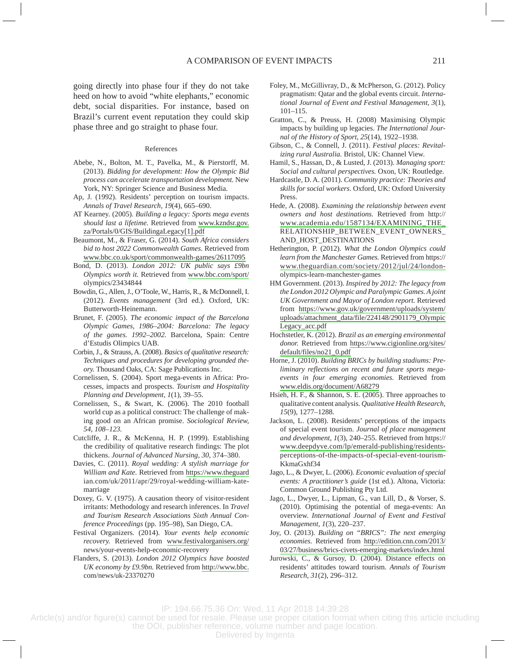going directly into phase four if they do not take heed on how to avoid "white elephants," economic debt, social disparities. For instance, based on Brazil's current event reputation they could skip phase three and go straight to phase four.

### References

- Abebe, N., Bolton, M. T., Pavelka, M., & Pierstorff, M. (2013). *Bidding for development: How the Olympic Bid process can accelerate transportation development.* New York, NY: Springer Science and Business Media.
- Ap, J. (1992). Residents' perception on tourism impacts. *Annals of Travel Research, 19*(4), 665–690.
- AT Kearney. (2005). *Building a legacy: Sports mega events should last a lifetime.* Retrieved from [www.kzndsr.gov.](http://www.kzndsr.gov.za/Portals/0/GIS/BuildingaLegacy[1].pdf) [za/Portals/0/GIS/BuildingaLegacy\[1\].pdf](http://www.kzndsr.gov.za/Portals/0/GIS/BuildingaLegacy[1].pdf)
- Beaumont, M., & Fraser, G. (2014). *South Africa considers bid to host 2022 Commonwealth Games.* Retrieved from [www.bbc.co.uk/sport/commonwealth-games/26117095](http://www.bbc.co.uk/sport/commonwealth-games/26117095)
- Bond, D. (2013). *London 2012: UK public says £9bn Olympics worth it.* Retrieved from [www.bbc.com/sport/](http://www.bbc.com/sport/) olympics/23434844
- Bowdin, G., Allen, J., O'Toole, W., Harris, R., & McDonnell, I. (2012). *Events management* (3rd ed.). Oxford, UK: Butterworth-Heinemann.
- Brunet, F. (2005). *The economic impact of the Barcelona Olympic Games, 1986–2004: Barcelona: The legacy of the games. 1992–2002.* Barcelona, Spain: Centre d'Estudis Olimpics UAB.
- Corbin, J., & Strauss, A. (2008). *Basics of qualitative research: Techniques and procedures for developing grounded theory.* Thousand Oaks, CA: Sage Publications Inc.
- Cornelissen, S. (2004). Sport mega-events in Africa: Processes, impacts and prospects. *Tourism and Hospitality Planning and Development, 1*(1), 39–55.
- Cornelissen, S., & Swart, K. (2006). The 2010 football world cup as a political construct: The challenge of making good on an African promise. *Sociological Review, 54*, *108–123.*
- Cutcliffe, J. R., & McKenna, H. P. (1999). Establishing the credibility of qualitative research findings: The plot thickens. *Journal of Advanced Nursing, 30*, 374–380.
- Davies, C. (2011). *Royal wedding: A stylish marriage for William and Kate.* Retrieved from [https://www.theguard](http://www.theguard) ian.com/uk/2011/apr/29/royal-wedding-william-katemarriage
- Doxey, G. V. (1975). A causation theory of visitor-resident irritants: Methodology and research inferences. In *Travel and Tourism Research Associations Sixth Annual Conference Proceedings* (pp. 195–98), San Diego, CA.
- Festival Organizers. (2014). *Your events help economic recovery.* Retrieved from [www.festivalorganisers.org/](http://www.festivalorganisers.org/) news/your-events-help-economic-recovery
- Flanders, S. (2013). *London 2012 Olympics have boosted UK economy by £9.9bn.* Retrieved from [http://www.bbc.](http://www.bbc) com/news/uk-23370270
- Foley, M., McGillivray, D., & McPherson, G. (2012). Policy pragmatism: Qatar and the global events circuit. *International Journal of Event and Festival Management, 3*(1), 101–115.
- Gratton, C., & Preuss, H. (2008) Maximising Olympic impacts by building up legacies. *The International Journal of the History of Sport, 25*(14), 1922–1938.
- Gibson, C., & Connell, J. (2011). *Festival places: Revitalizing rural Australia.* Bristol, UK: Channel View.
- Hamil, S., Hassan, D., & Lusted, J. (2013). *Managing sport: Social and cultural perspectives.* Oxon, UK: Routledge.
- Hardcastle, D. A. (2011). *Community practice: Theories and skills for social workers*. Oxford, UK: Oxford University Press.
- Hede, A. (2008). *Examining the relationship between event owners and host destinations.* Retrieved from http:// [www.academia.edu/1587134/EXAMINING\\_THE\\_](http://www.academia.edu/1587134/EXAMINING_THE_) RELATIONSHIP\_BETWEEN\_EVENT\_OWNERS\_ AND\_HOST\_DESTINATIONS
- Hetherington, P. (2012). *What the London Olympics could learn from the Manchester Games.* Retrieved from https:// [www.theguardian.com/society/2012/jul/24/london](http://www.theguardian.com/society/2012/jul/24/london-)olympics-learn-manchester-games
- HM Government. (2013). *Inspired by 2012: The legacy from the London 2012 Olympic and Paralympic Games. A joint UK Government and Mayor of London report.* Retrieved from [https://www.gov.uk/government/uploads/system/](http://www.gov.uk/government/uploads/system/uploads/attachment_data/file/224148/2901179_OlympicLegacy_acc.pdf) [uploads/attachment\\_data/file/224148/2901179\\_Olympic](http://www.gov.uk/government/uploads/system/uploads/attachment_data/file/224148/2901179_OlympicLegacy_acc.pdf) [Legacy\\_acc.pdf](http://www.gov.uk/government/uploads/system/uploads/attachment_data/file/224148/2901179_OlympicLegacy_acc.pdf)
- Hochstetler, K. (2012). *Brazil as an emerging environmental donor.* Retrieved from [https://www.cigionline.org/sites/](http://www.cigionline.org/sites/default/files/no21_0.pdf) [default/files/no21\\_0.pdf](http://www.cigionline.org/sites/default/files/no21_0.pdf)
- Horne, J. (2010). *Building BRICs by building stadiums: Preliminary reflections on recent and future sports megaevents in four emerging economies.* Retrieved from [www.eldis.org/document/A68279](http://www.eldis.org/document/A68279)
- Hsieh, H. F., & Shannon, S. E. (2005). Three approaches to qualitative content analysis. *Qualitative Health Research, 15*(9), 1277–1288.
- Jackson, L. (2008). Residents' perceptions of the impacts of special event tourism. *Journal of place management and development, 1*(3), 240–255. Retrieved from https:// [www.deepdyve.com/lp/emerald-publishing/residents](http://www.deepdyve.com/lp/emerald-publishing/residents-)perceptions-of-the-impacts-of-special-event-tourism-KkmaGxhf34
- Jago, L., & Dwyer, L. (2006). *Economic evaluation of special events: A practitioner's guide* (1st ed.). Altona, Victoria: Common Ground Publishing Pty Ltd.
- Jago, L., Dwyer, L., Lipman, G., van Lill, D., & Vorser, S. (2010). Optimising the potential of mega-events: An overview. *International Journal of Event and Festival Management, 1*(3), 220–237.
- Joy, O. (2013). *Building on "BRICS": The next emerging economies*. Retrieved from [http://edition.cnn.com/2013/](http://edition.cnn.com/2013/03/27/business/brics-civets-emerging-markets/index.html) [03/27/business/brics-civets-emerging-markets/index.html](http://edition.cnn.com/2013/03/27/business/brics-civets-emerging-markets/index.html)
- Jurowski, C., & Gursoy, D. (2004). Distance effects on residents' attitudes toward tourism. *Annals of Tourism Research, 31*(2), 296–312.

IP: 194.66.75.36 On: Wed, 11 Apr 2018 14:39:28

Article(s) and/or figure(s) cannot be used for resale. Please use proper citation format when citing this article including the DOI, publisher reference, volume number and page location.